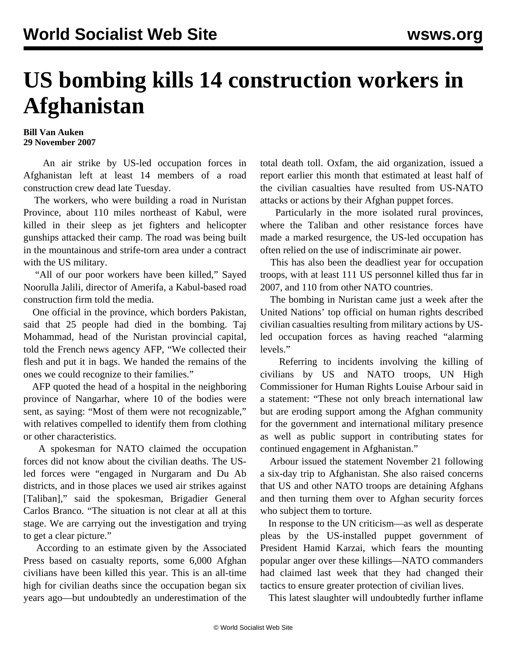## **US bombing kills 14 construction workers in Afghanistan**

## **Bill Van Auken 29 November 2007**

 An air strike by US-led occupation forces in Afghanistan left at least 14 members of a road construction crew dead late Tuesday.

 The workers, who were building a road in Nuristan Province, about 110 miles northeast of Kabul, were killed in their sleep as jet fighters and helicopter gunships attacked their camp. The road was being built in the mountainous and strife-torn area under a contract with the US military.

 "All of our poor workers have been killed," Sayed Noorulla Jalili, director of Amerifa, a Kabul-based road construction firm told the media.

 One official in the province, which borders Pakistan, said that 25 people had died in the bombing. Taj Mohammad, head of the Nuristan provincial capital, told the French news agency AFP, "We collected their flesh and put it in bags. We handed the remains of the ones we could recognize to their families."

 AFP quoted the head of a hospital in the neighboring province of Nangarhar, where 10 of the bodies were sent, as saying: "Most of them were not recognizable," with relatives compelled to identify them from clothing or other characteristics.

 A spokesman for NATO claimed the occupation forces did not know about the civilian deaths. The USled forces were "engaged in Nurgaram and Du Ab districts, and in those places we used air strikes against [Taliban]," said the spokesman, Brigadier General Carlos Branco. "The situation is not clear at all at this stage. We are carrying out the investigation and trying to get a clear picture."

 According to an estimate given by the Associated Press based on casualty reports, some 6,000 Afghan civilians have been killed this year. This is an all-time high for civilian deaths since the occupation began six years ago—but undoubtedly an underestimation of the total death toll. Oxfam, the aid organization, issued a report earlier this month that estimated at least half of the civilian casualties have resulted from US-NATO attacks or actions by their Afghan puppet forces.

 Particularly in the more isolated rural provinces, where the Taliban and other resistance forces have made a marked resurgence, the US-led occupation has often relied on the use of indiscriminate air power.

 This has also been the deadliest year for occupation troops, with at least 111 US personnel killed thus far in 2007, and 110 from other NATO countries.

 The bombing in Nuristan came just a week after the United Nations' top official on human rights described civilian casualties resulting from military actions by USled occupation forces as having reached "alarming levels."

 Referring to incidents involving the killing of civilians by US and NATO troops, UN High Commissioner for Human Rights Louise Arbour said in a statement: "These not only breach international law but are eroding support among the Afghan community for the government and international military presence as well as public support in contributing states for continued engagement in Afghanistan."

 Arbour issued the statement November 21 following a six-day trip to Afghanistan. She also raised concerns that US and other NATO troops are detaining Afghans and then turning them over to Afghan security forces who subject them to torture.

 In response to the UN criticism—as well as desperate pleas by the US-installed puppet government of President Hamid Karzai, which fears the mounting popular anger over these killings—NATO commanders had claimed last week that they had changed their tactics to ensure greater protection of civilian lives.

This latest slaughter will undoubtedly further inflame